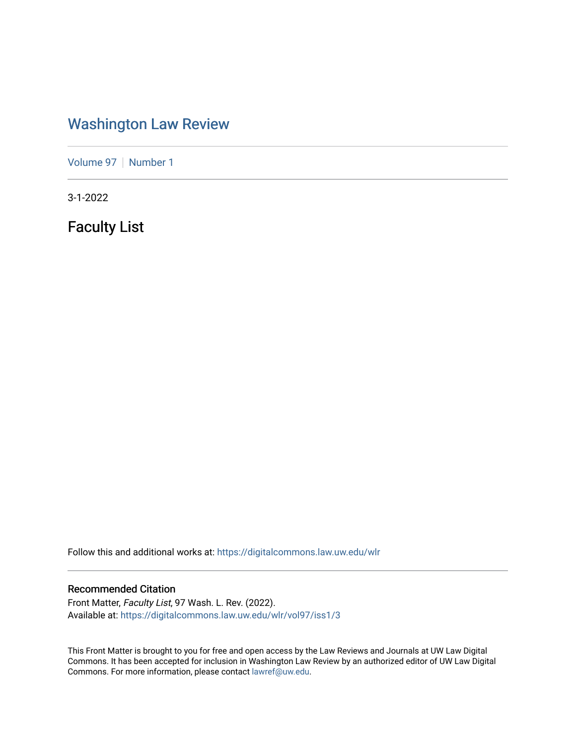## [Washington Law Review](https://digitalcommons.law.uw.edu/wlr)

[Volume 97](https://digitalcommons.law.uw.edu/wlr/vol97) | [Number 1](https://digitalcommons.law.uw.edu/wlr/vol97/iss1)

3-1-2022

Faculty List

Follow this and additional works at: [https://digitalcommons.law.uw.edu/wlr](https://digitalcommons.law.uw.edu/wlr?utm_source=digitalcommons.law.uw.edu%2Fwlr%2Fvol97%2Fiss1%2F3&utm_medium=PDF&utm_campaign=PDFCoverPages)

## Recommended Citation

Front Matter, Faculty List, 97 Wash. L. Rev. (2022). Available at: [https://digitalcommons.law.uw.edu/wlr/vol97/iss1/3](https://digitalcommons.law.uw.edu/wlr/vol97/iss1/3?utm_source=digitalcommons.law.uw.edu%2Fwlr%2Fvol97%2Fiss1%2F3&utm_medium=PDF&utm_campaign=PDFCoverPages)

This Front Matter is brought to you for free and open access by the Law Reviews and Journals at UW Law Digital Commons. It has been accepted for inclusion in Washington Law Review by an authorized editor of UW Law Digital Commons. For more information, please contact [lawref@uw.edu](mailto:lawref@uw.edu).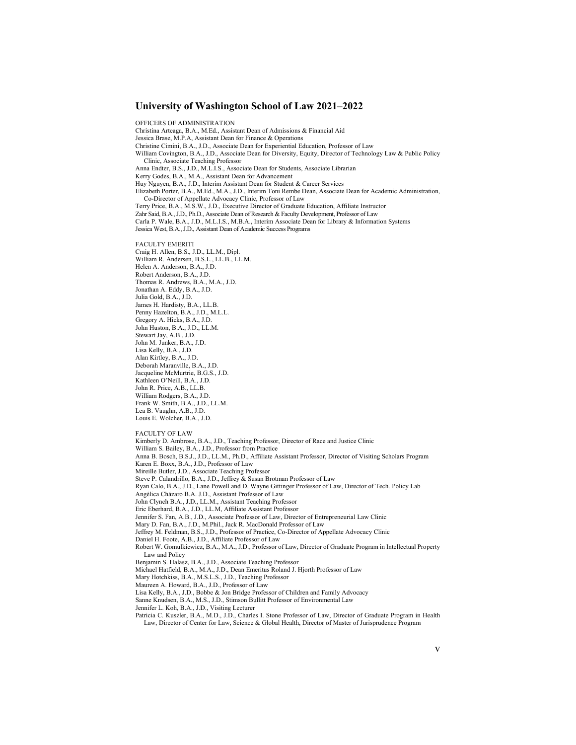## **University of Washington School of Law 2021–2022**

OFFICERS OF ADMINISTRATION Christina Arteaga, B.A., M.Ed., Assistant Dean of Admissions & Financial Aid Jessica Brase, M.P.A, Assistant Dean for Finance & Operations Christine Cimini, B.A., J.D., Associate Dean for Experiential Education, Professor of Law William Covington, B.A., J.D., Associate Dean for Diversity, Equity, Director of Technology Law & Public Policy Clinic, Associate Teaching Professor Anna Endter, B.S., J.D., M.L.I.S., Associate Dean for Students, Associate Librarian Kerry Godes, B.A., M.A., Assistant Dean for Advancement Huy Nguyen, B.A., J.D., Interim Assistant Dean for Student & Career Services Elizabeth Porter, B.A., M.Ed., M.A., J.D., Interim Toni Rembe Dean, Associate Dean for Academic Administration, Co-Director of Appellate Advocacy Clinic, Professor of Law Terry Price, B.A., M.S.W., J.D., Executive Director of Graduate Education, Affiliate Instructor Zahr Said, B.A., J.D., Ph.D., Associate Dean of Research & Faculty Development, Professor of Law Carla P. Wale, B.A., J.D., M.L.I.S., M.B.A., Interim Associate Dean for Library & Information Systems Jessica West, B.A., J.D., Assistant Dean of Academic Success Programs FACULTY EMERITI Craig H. Allen, B.S., J.D., LL.M., Dipl. William R. Andersen, B.S.L., LL.B., LL.M. Helen A. Anderson, B.A., J.D. Robert Anderson, B.A., J.D. Thomas R. Andrews, B.A., M.A., J.D. Jonathan A. Eddy, B.A., J.D. Julia Gold, B.A., J.D. James H. Hardisty, B.A., LL.B. Penny Hazelton, B.A., J.D., M.L.L. Gregory A. Hicks, B.A., J.D. John Huston, B.A., J.D., LL.M. Stewart Jay, A.B., J.D. John M. Junker, B.A., J.D. Lisa Kelly, B.A., J.D. Alan Kirtley, B.A., J.D. Deborah Maranville, B.A., J.D. Jacqueline McMurtrie, B.G.S., J.D. Kathleen O'Neill, B.A., J.D. John R. Price, A.B., LL.B. William Rodgers, B.A., J.D. Frank W. Smith, B.A., J.D., LL.M. Lea B. Vaughn, A.B., J.D. Louis E. Wolcher, B.A., J.D. FACULTY OF LAW Kimberly D. Ambrose, B.A., J.D., Teaching Professor, Director of Race and Justice Clinic William S. Bailey, B.A., J.D., Professor from Practice Anna B. Bosch, B.S.J., J.D., LL.M., Ph.D., Affiliate Assistant Professor, Director of Visiting Scholars Program Karen E. Boxx, B.A., J.D., Professor of Law Mireille Butler, J.D., Associate Teaching Professor Steve P. Calandrillo, B.A., J.D., Jeffrey & Susan Brotman Professor of Law Ryan Calo, B.A., J.D., Lane Powell and D. Wayne Gittinger Professor of Law, Director of Tech. Policy Lab Angélica Cházaro B.A. J.D., Assistant Professor of Law John Clynch B.A., J.D., LL.M., Assistant Teaching Professor Eric Eberhard, B.A., J.D., LL.M, Affiliate Assistant Professor Jennifer S. Fan, A.B., J.D., Associate Professor of Law, Director of Entrepreneurial Law Clinic Mary D. Fan, B.A., J.D., M.Phil., Jack R. MacDonald Professor of Law

Jeffrey M. Feldman, B.S., J.D., Professor of Practice, Co-Director of Appellate Advocacy Clinic

- Daniel H. Foote, A.B., J.D., Affiliate Professor of Law
- Robert W. Gomulkiewicz, B.A., M.A., J.D., Professor of Law, Director of Graduate Program in Intellectual Property Law and Policy
- Benjamin S. Halasz, B.A., J.D., Associate Teaching Professor
- Michael Hatfield, B.A., M.A., J.D., Dean Emeritus Roland J. Hjorth Professor of Law
- Mary Hotchkiss, B.A., M.S.L.S., J.D., Teaching Professor
- Maureen A. Howard, B.A., J.D., Professor of Law
- Lisa Kelly, B.A., J.D., Bobbe & Jon Bridge Professor of Children and Family Advocacy
- Sanne Knudsen, B.A., M.S., J.D., Stimson Bullitt Professor of Environmental Law
- Jennifer L. Koh, B.A., J.D., Visiting Lecturer
- Patricia C. Kuszler, B.A., M.D., J.D., Charles I. Stone Professor of Law, Director of Graduate Program in Health Law, Director of Center for Law, Science & Global Health, Director of Master of Jurisprudence Program